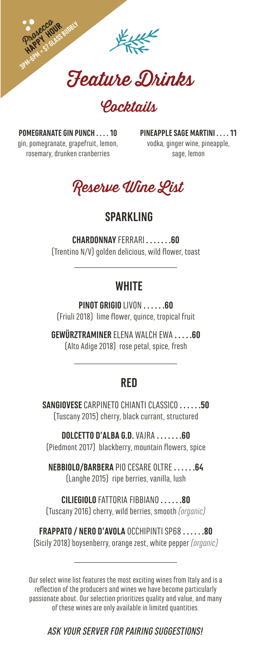

*Pachtaill* 

**POMEGRANATE GIN PUNCH . . . . 10** gin, pomegranate, grapefruit, lemon, rosemary, drunken cranberries

**PINEAPPLE SAGE MARTINI . . . . 11**  vodka, ginger wine, pineapple, sage, lemon



## **SPARKLING**

**CHARDONNAY** FERRARI **. . . . . . .60** (Trentino N/V) golden delicious, wild flower, toast

## **WHITE**

**PINOT GRIGIO** LIVON **. . . . . .60** (Friuli 2018) lime flower, quince, tropical fruit

**GEWÜRZTRAMINER** ELENA WALCH EWA **. . . . .60** (Alto Adige 2018) rose petal, spice, fresh

## **RED**

**SANGIOVESE** CARPINETO CHIANTI CLASSICO **. . . . . .50** (Tuscany 2015) cherry, black currant, structured

**DOLCETTO D'ALBA G.D.** VAJRA **. . . . . . .60** (Piedmont 2017) blackberry, mountain flowers, spice

**NEBBIOLO/BARBERA** PIO CESARE OLTRE **. . . . . .64** (Langhe 2015) ripe berries, vanilla, lush

**CILIEGIOLO** FATTORIA FIBBIANO **. . . . . .80** (Tuscany 2016) cherry, wild berries, smooth *(organic)*

**FRAPPATO / NERO D'AVOLA** OCCHIPINTI SP68 **. . . . . .80** (Sicily 2018) boysenberry, orange zest, white pepper *(organic)*

Our select wine list features the most exciting wines from Italy and is a reflection of the producers and wines we have become particularly passionate about. Our selection prioritizes quality and value, and many of these wines are only available in limited quantities.

*ASK YOUR SERVER FOR PAIRING SUGGESTIONS!*